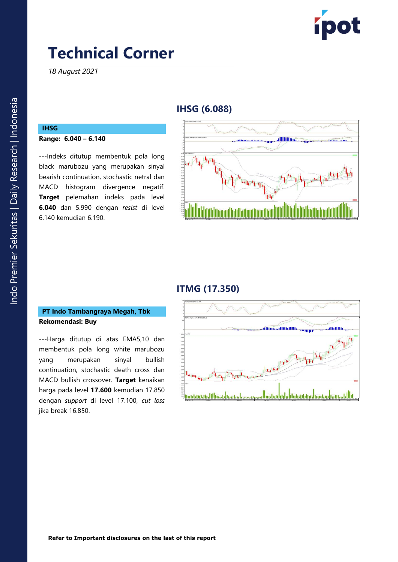

*18 August 2021*

## **IHSG (6.088)**

## **IHSG**

#### **Range: 6.040 – 6.140**

---Indeks ditutup membentuk pola long black marubozu yang merupakan sinyal bearish continuation, stochastic netral dan MACD histogram divergence negatif. **Target** pelemahan indeks pada level **6.040** dan 5.990 dengan *resist* di level 6.140 kemudian 6.190.



### **ITMG (17.350)**

#### **PT Indo Tambangraya Megah, Tbk Rekomendasi: Buy**

---Harga ditutup di atas EMA5,10 dan membentuk pola long white marubozu yang merupakan sinyal bullish continuation, stochastic death cross dan MACD bullish crossover. **Target** kenaikan harga pada level **17.600** kemudian 17.850 dengan *support* di level 17.100, *cut loss* jika break 16.850.

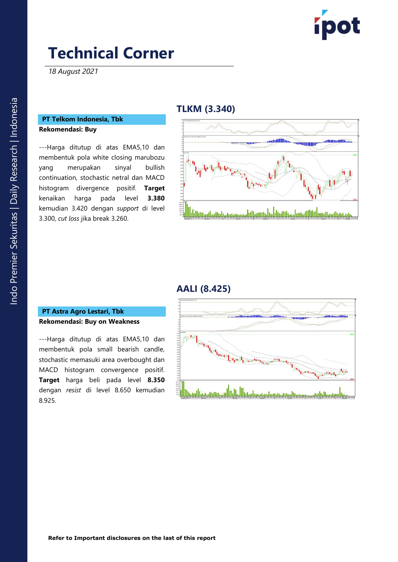

*18 August 2021*

#### **PT Telkom Indonesia, Tbk Rekomendasi: Buy**

---Harga ditutup di atas EMA5,10 dan membentuk pola white closing marubozu yang merupakan sinyal bullish continuation, stochastic netral dan MACD histogram divergence positif. **Target**  kenaikan harga pada level **3.380** kemudian 3.420 dengan *support* di level 3.300, *cut loss* jika break 3.260.

### **TLKM (3.340)**



#### **AALI (8.425)**

#### **PT Astra Agro Lestari, Tbk Rekomendasi: Buy on Weakness**

---Harga ditutup di atas EMA5,10 dan membentuk pola small bearish candle, stochastic memasuki area overbought dan MACD histogram convergence positif. **Target** harga beli pada level **8.350** dengan *resist* di level 8.650 kemudian 8.925.

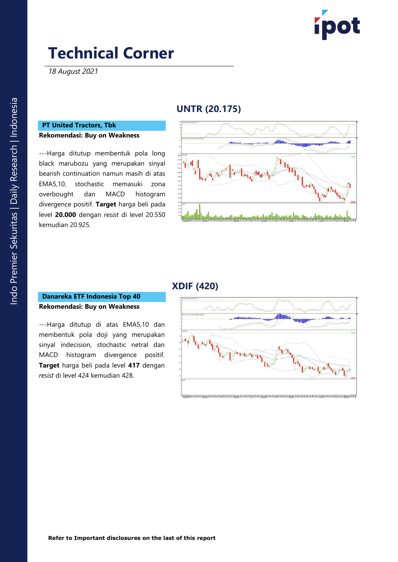

*18 August 2021*

## **UNTR (20.175)**

#### **PT United Tractors, Tbk Rekomendasi: Buy on Weakness**

---Harga ditutup membentuk pola long black marubozu yang merupakan sinyal bearish continuation namun masih di atas EMA5,10, stochastic memasuki zona overbought dan MACD histogram divergence positif. **Target** harga beli pada level **20.000** dengan *resist* di level 20.550 kemudian 20.925.



### **XDIF (420)**

#### **Danareka ETF Indonesia Top 40 Rekomendasi: Buy on Weakness**

---Harga ditutup di atas EMA5,10 dan membentuk pola doji yang merupakan sinyal indecision, stochastic netral dan MACD histogram divergence positif. **Target** harga beli pada level **417** dengan *resist* di level 424 kemudian 428.

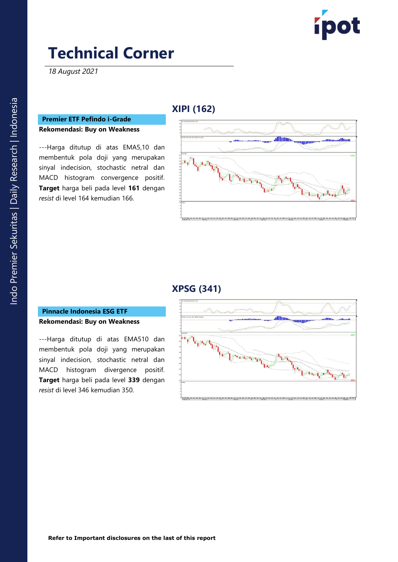

*18 August 2021*

### **Premier ETF Pefindo i-Grade Rekomendasi: Buy on Weakness**

---Harga ditutup di atas EMA5,10 dan membentuk pola doji yang merupakan sinyal indecision, stochastic netral dan MACD histogram convergence positif. **Target** harga beli pada level **161** dengan *resist* di level 164 kemudian 166.

## **XIPI (162)**



### **XPSG (341)**

#### **Pinnacle Indonesia ESG ETF Rekomendasi: Buy on Weakness**

---Harga ditutup di atas EMA510 dan membentuk pola doji yang merupakan sinyal indecision, stochastic netral dan MACD histogram divergence positif. **Target** harga beli pada level **339** dengan *resist* di level 346 kemudian 350.